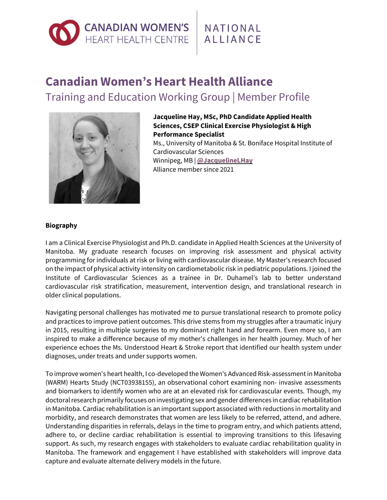

## NATIONAL **ALLIANCE**

## **Canadian Women's Heart Health Alliance** Training and Education Working Group | Member Profile



**Jacqueline Hay, MSc, PhD Candidate Applied Health Sciences, CSEP Clinical Exercise Physiologist & High Performance Specialist** Ms., University of Manitoba & St. Boniface Hospital Institute of

Cardiovascular Sciences Winnipeg, MB | **[@JacquelineLHay](https://twitter.com/jacquelinelhay)** Alliance member since 2021

## **Biography**

I am a Clinical Exercise Physiologist and Ph.D. candidate in Applied Health Sciences at the University of Manitoba. My graduate research focuses on improving risk assessment and physical activity programming for individuals at risk or living with cardiovascular disease. My Master's research focused on the impact of physical activity intensity on cardiometabolic risk in pediatric populations. I joined the Institute of Cardiovascular Sciences as a trainee in Dr. Duhamel's lab to better understand cardiovascular risk stratification, measurement, intervention design, and translational research in older clinical populations.

Navigating personal challenges has motivated me to pursue translational research to promote policy and practices to improve patient outcomes. This drive stems from my struggles after a traumatic injury in 2015, resulting in multiple surgeries to my dominant right hand and forearm. Even more so, I am inspired to make a difference because of my mother's challenges in her health journey. Much of her experience echoes the Ms. Understood Heart & Stroke report that identified our health system under diagnoses, under treats and under supports women.

To improve women's heart health, I co-developed theWomen's Advanced Risk-assessmentin Manitoba (WARM) Hearts Study (NCT03938155), an observational cohort examining non- invasive assessments and biomarkers to identify women who are at an elevated risk for cardiovascular events. Though, my doctoral research primarily focuses on investigating sex and gender differences in cardiac rehabilitation in Manitoba. Cardiac rehabilitation is an important support associated with reductions in mortality and morbidity, and research demonstrates that women are less likely to be referred, attend, and adhere. Understanding disparities in referrals, delays in the time to program entry, and which patients attend, adhere to, or decline cardiac rehabilitation is essential to improving transitions to this lifesaving support. As such, my research engages with stakeholders to evaluate cardiac rehabilitation quality in Manitoba. The framework and engagement I have established with stakeholders will improve data capture and evaluate alternate delivery models in the future.